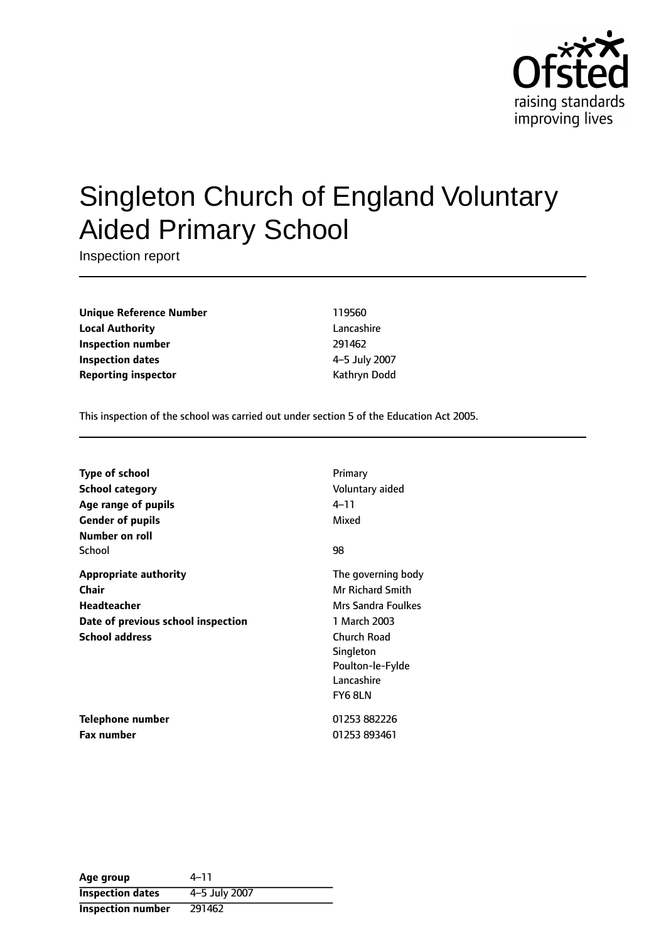

# Singleton Church of England Voluntary Aided Primary School

Inspection report

**Unique Reference Number** 119560 **Local Authority** Lancashire **Inspection number** 291462 **Inspection dates** 45 July 2007 **Reporting inspector CONFIDENTIAL REPORTING KATHRYING DODGET AT A REPORT OF A REPORT OF A REPORT OF A REPORT OF A REPORT OF A REPORT OF A REPORT OF A REPORT OF A REPORT OF A REPORT OF A REPORT OF A REPORT OF A REPORT OF** 

This inspection of the school was carried out under section 5 of the Education Act 2005.

| <b>Type of school</b>              | Primary                 |
|------------------------------------|-------------------------|
|                                    |                         |
| School category                    | Voluntary aided         |
| Age range of pupils                | 4–11                    |
| <b>Gender of pupils</b>            | Mixed                   |
| Number on roll                     |                         |
| School                             | 98                      |
| <b>Appropriate authority</b>       | The governing body      |
| Chair                              | <b>Mr Richard Smith</b> |
| <b>Headteacher</b>                 | Mrs Sandra Foulkes      |
| Date of previous school inspection | 1 March 2003            |
| <b>School address</b>              | Church Road             |
|                                    | Singleton               |
|                                    | Poulton-le-Fylde        |
|                                    | Lancashire              |
|                                    | FY6 8LN                 |
| Telephone number                   | 01253 882226            |
| <b>Fax number</b>                  | 01253 893461            |

| Age group                | $4 - 11$      |
|--------------------------|---------------|
| <b>Inspection dates</b>  | 4-5 July 2007 |
| <b>Inspection number</b> | 291462        |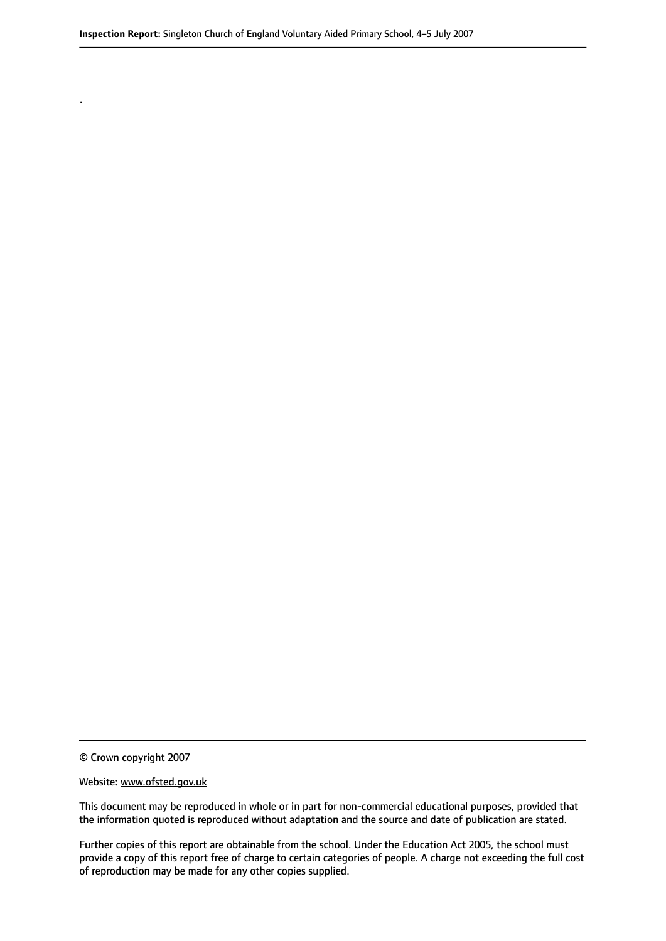© Crown copyright 2007

.

#### Website: www.ofsted.gov.uk

This document may be reproduced in whole or in part for non-commercial educational purposes, provided that the information quoted is reproduced without adaptation and the source and date of publication are stated.

Further copies of this report are obtainable from the school. Under the Education Act 2005, the school must provide a copy of this report free of charge to certain categories of people. A charge not exceeding the full cost of reproduction may be made for any other copies supplied.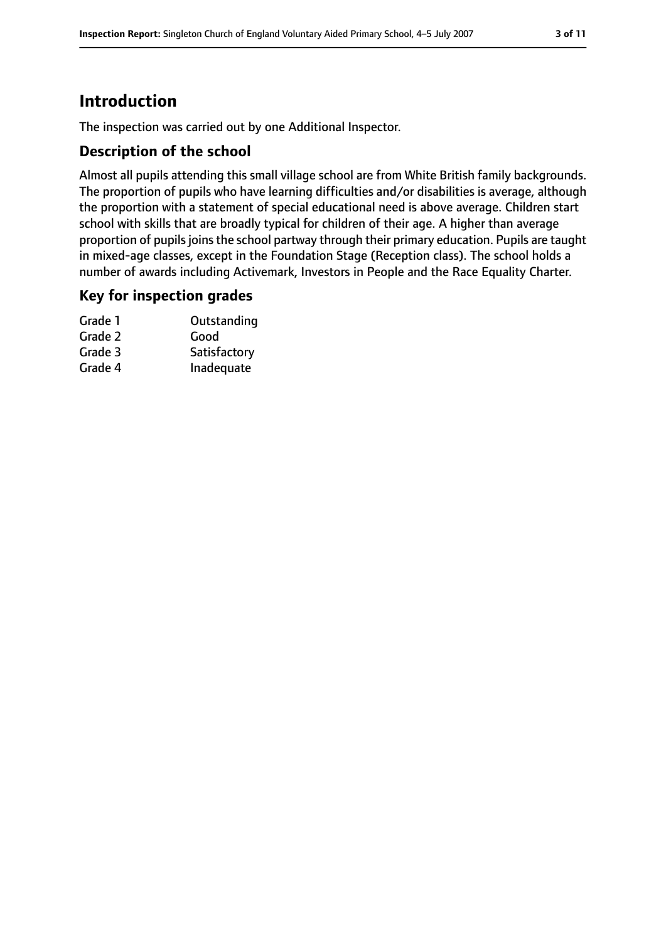# **Introduction**

The inspection was carried out by one Additional Inspector.

# **Description of the school**

Almost all pupils attending this small village school are from White British family backgrounds. The proportion of pupils who have learning difficulties and/or disabilities is average, although the proportion with a statement of special educational need is above average. Children start school with skills that are broadly typical for children of their age. A higher than average proportion of pupils joins the school partway through their primary education. Pupils are taught in mixed-age classes, except in the Foundation Stage (Reception class). The school holds a number of awards including Activemark, Investors in People and the Race Equality Charter.

# **Key for inspection grades**

| Outstanding  |
|--------------|
| Good         |
| Satisfactory |
| Inadequate   |
|              |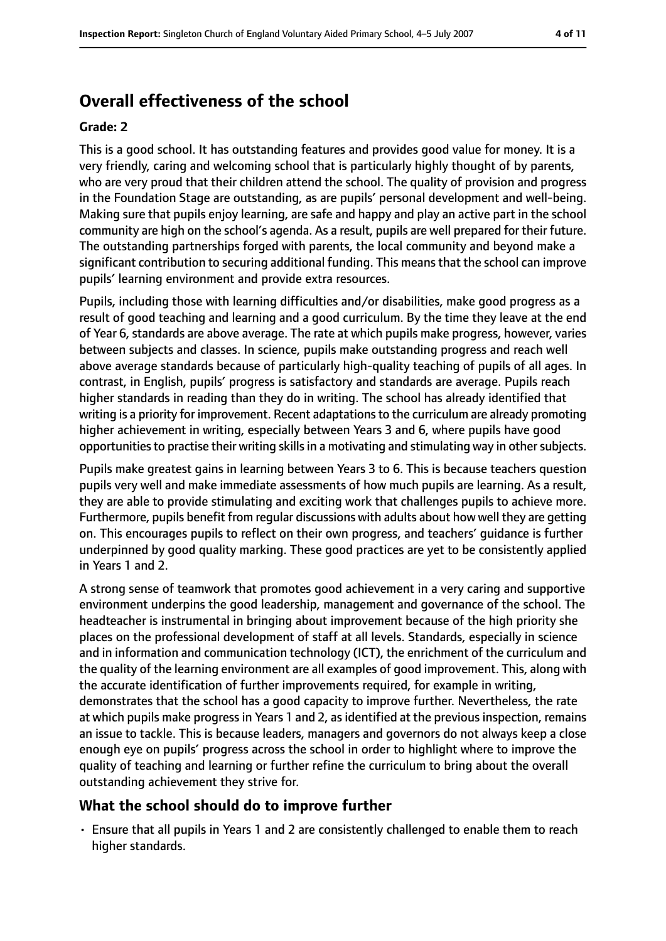# **Overall effectiveness of the school**

#### **Grade: 2**

This is a good school. It has outstanding features and provides good value for money. It is a very friendly, caring and welcoming school that is particularly highly thought of by parents, who are very proud that their children attend the school. The quality of provision and progress in the Foundation Stage are outstanding, as are pupils' personal development and well-being. Making sure that pupils enjoy learning, are safe and happy and play an active part in the school community are high on the school's agenda. As a result, pupils are well prepared for their future. The outstanding partnerships forged with parents, the local community and beyond make a significant contribution to securing additional funding. This meansthat the school can improve pupils' learning environment and provide extra resources.

Pupils, including those with learning difficulties and/or disabilities, make good progress as a result of good teaching and learning and a good curriculum. By the time they leave at the end of Year 6, standards are above average. The rate at which pupils make progress, however, varies between subjects and classes. In science, pupils make outstanding progress and reach well above average standards because of particularly high-quality teaching of pupils of all ages. In contrast, in English, pupils' progress is satisfactory and standards are average. Pupils reach higher standards in reading than they do in writing. The school has already identified that writing is a priority for improvement. Recent adaptations to the curriculum are already promoting higher achievement in writing, especially between Years 3 and 6, where pupils have good opportunities to practise their writing skills in a motivating and stimulating way in other subjects.

Pupils make greatest gains in learning between Years 3 to 6. This is because teachers question pupils very well and make immediate assessments of how much pupils are learning. As a result, they are able to provide stimulating and exciting work that challenges pupils to achieve more. Furthermore, pupils benefit from regular discussions with adults about how well they are getting on. This encourages pupils to reflect on their own progress, and teachers' guidance is further underpinned by good quality marking. These good practices are yet to be consistently applied in Years 1 and 2.

A strong sense of teamwork that promotes good achievement in a very caring and supportive environment underpins the good leadership, management and governance of the school. The headteacher is instrumental in bringing about improvement because of the high priority she places on the professional development of staff at all levels. Standards, especially in science and in information and communication technology (ICT), the enrichment of the curriculum and the quality of the learning environment are all examples of good improvement. This, along with the accurate identification of further improvements required, for example in writing, demonstrates that the school has a good capacity to improve further. Nevertheless, the rate at which pupils make progress in Years 1 and 2, as identified at the previous inspection, remains an issue to tackle. This is because leaders, managers and governors do not always keep a close enough eye on pupils' progress across the school in order to highlight where to improve the quality of teaching and learning or further refine the curriculum to bring about the overall outstanding achievement they strive for.

# **What the school should do to improve further**

• Ensure that all pupils in Years 1 and 2 are consistently challenged to enable them to reach higher standards.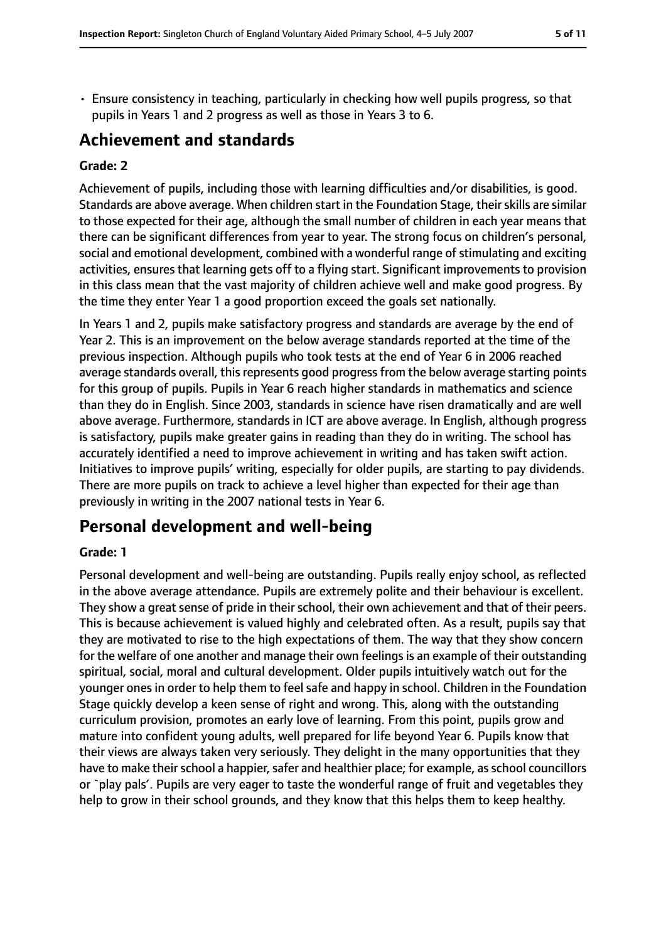• Ensure consistency in teaching, particularly in checking how well pupils progress, so that pupils in Years 1 and 2 progress as well as those in Years 3 to 6.

# **Achievement and standards**

#### **Grade: 2**

Achievement of pupils, including those with learning difficulties and/or disabilities, is good. Standards are above average. When children start in the Foundation Stage, their skills are similar to those expected for their age, although the small number of children in each year means that there can be significant differences from year to year. The strong focus on children's personal, social and emotional development, combined with a wonderful range of stimulating and exciting activities, ensures that learning gets off to a flying start. Significant improvements to provision in this class mean that the vast majority of children achieve well and make good progress. By the time they enter Year 1 a good proportion exceed the goals set nationally.

In Years 1 and 2, pupils make satisfactory progress and standards are average by the end of Year 2. This is an improvement on the below average standards reported at the time of the previous inspection. Although pupils who took tests at the end of Year 6 in 2006 reached average standards overall, this represents good progress from the below average starting points for this group of pupils. Pupils in Year 6 reach higher standards in mathematics and science than they do in English. Since 2003, standards in science have risen dramatically and are well above average. Furthermore, standards in ICT are above average. In English, although progress is satisfactory, pupils make greater gains in reading than they do in writing. The school has accurately identified a need to improve achievement in writing and has taken swift action. Initiatives to improve pupils' writing, especially for older pupils, are starting to pay dividends. There are more pupils on track to achieve a level higher than expected for their age than previously in writing in the 2007 national tests in Year 6.

# **Personal development and well-being**

#### **Grade: 1**

Personal development and well-being are outstanding. Pupils really enjoy school, as reflected in the above average attendance. Pupils are extremely polite and their behaviour is excellent. They show a great sense of pride in their school, their own achievement and that of their peers. This is because achievement is valued highly and celebrated often. As a result, pupils say that they are motivated to rise to the high expectations of them. The way that they show concern for the welfare of one another and manage their own feelings is an example of their outstanding spiritual, social, moral and cultural development. Older pupils intuitively watch out for the younger ones in order to help them to feel safe and happy in school. Children in the Foundation Stage quickly develop a keen sense of right and wrong. This, along with the outstanding curriculum provision, promotes an early love of learning. From this point, pupils grow and mature into confident young adults, well prepared for life beyond Year 6. Pupils know that their views are always taken very seriously. They delight in the many opportunities that they have to make their school a happier, safer and healthier place; for example, as school councillors or `play pals'. Pupils are very eager to taste the wonderful range of fruit and vegetables they help to grow in their school grounds, and they know that this helps them to keep healthy.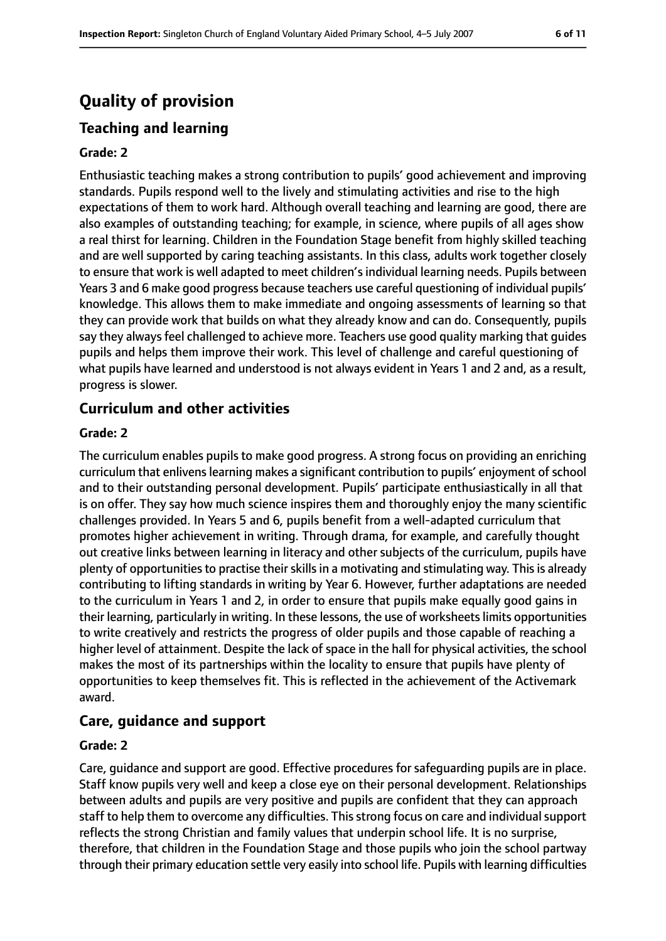# **Quality of provision**

# **Teaching and learning**

#### **Grade: 2**

Enthusiastic teaching makes a strong contribution to pupils' good achievement and improving standards. Pupils respond well to the lively and stimulating activities and rise to the high expectations of them to work hard. Although overall teaching and learning are good, there are also examples of outstanding teaching; for example, in science, where pupils of all ages show a real thirst for learning. Children in the Foundation Stage benefit from highly skilled teaching and are well supported by caring teaching assistants. In this class, adults work together closely to ensure that work is well adapted to meet children's individual learning needs. Pupils between Years 3 and 6 make good progress because teachers use careful questioning of individual pupils' knowledge. This allows them to make immediate and ongoing assessments of learning so that they can provide work that builds on what they already know and can do. Consequently, pupils say they always feel challenged to achieve more. Teachers use good quality marking that guides pupils and helps them improve their work. This level of challenge and careful questioning of what pupils have learned and understood is not always evident in Years 1 and 2 and, as a result, progress is slower.

# **Curriculum and other activities**

#### **Grade: 2**

The curriculum enables pupils to make good progress. A strong focus on providing an enriching curriculum that enlivens learning makes a significant contribution to pupils' enjoyment of school and to their outstanding personal development. Pupils' participate enthusiastically in all that is on offer. They say how much science inspires them and thoroughly enjoy the many scientific challenges provided. In Years 5 and 6, pupils benefit from a well-adapted curriculum that promotes higher achievement in writing. Through drama, for example, and carefully thought out creative links between learning in literacy and other subjects of the curriculum, pupils have plenty of opportunities to practise their skills in a motivating and stimulating way. This is already contributing to lifting standards in writing by Year 6. However, further adaptations are needed to the curriculum in Years 1 and 2, in order to ensure that pupils make equally good gains in their learning, particularly in writing. In these lessons, the use of worksheetslimits opportunities to write creatively and restricts the progress of older pupils and those capable of reaching a higher level of attainment. Despite the lack of space in the hall for physical activities, the school makes the most of its partnerships within the locality to ensure that pupils have plenty of opportunities to keep themselves fit. This is reflected in the achievement of the Activemark award.

# **Care, guidance and support**

#### **Grade: 2**

Care, guidance and support are good. Effective procedures for safeguarding pupils are in place. Staff know pupils very well and keep a close eye on their personal development. Relationships between adults and pupils are very positive and pupils are confident that they can approach staff to help them to overcome any difficulties. This strong focus on care and individual support reflects the strong Christian and family values that underpin school life. It is no surprise, therefore, that children in the Foundation Stage and those pupils who join the school partway through their primary education settle very easily into school life. Pupils with learning difficulties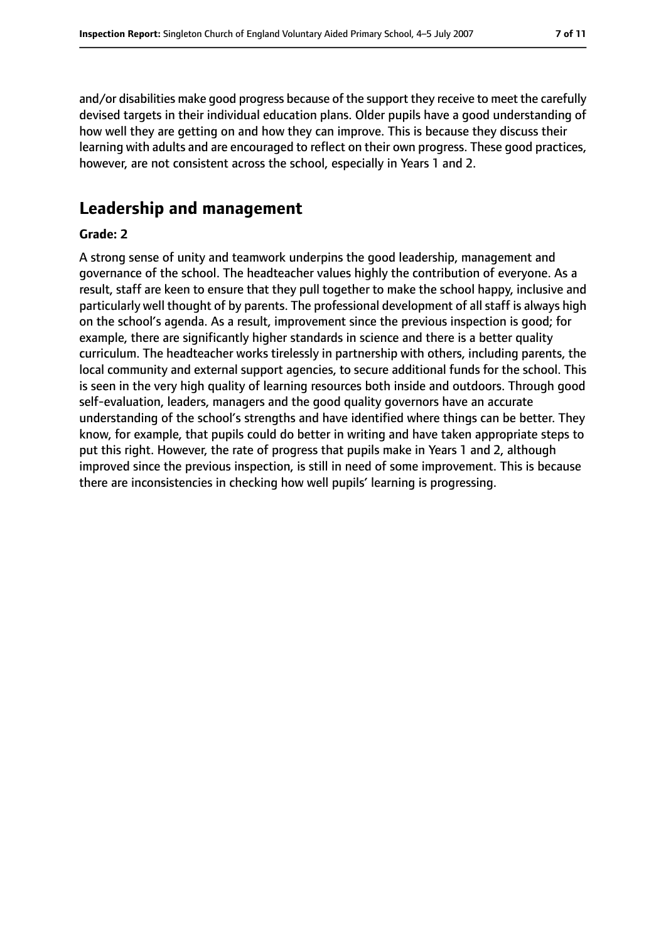and/or disabilities make good progress because of the support they receive to meet the carefully devised targets in their individual education plans. Older pupils have a good understanding of how well they are getting on and how they can improve. This is because they discuss their learning with adults and are encouraged to reflect on their own progress. These good practices, however, are not consistent across the school, especially in Years 1 and 2.

# **Leadership and management**

#### **Grade: 2**

A strong sense of unity and teamwork underpins the good leadership, management and governance of the school. The headteacher values highly the contribution of everyone. As a result, staff are keen to ensure that they pull together to make the school happy, inclusive and particularly well thought of by parents. The professional development of all staff is always high on the school's agenda. As a result, improvement since the previous inspection is good; for example, there are significantly higher standards in science and there is a better quality curriculum. The headteacher works tirelessly in partnership with others, including parents, the local community and external support agencies, to secure additional funds for the school. This is seen in the very high quality of learning resources both inside and outdoors. Through good self-evaluation, leaders, managers and the good quality governors have an accurate understanding of the school's strengths and have identified where things can be better. They know, for example, that pupils could do better in writing and have taken appropriate steps to put this right. However, the rate of progress that pupils make in Years 1 and 2, although improved since the previous inspection, is still in need of some improvement. This is because there are inconsistencies in checking how well pupils' learning is progressing.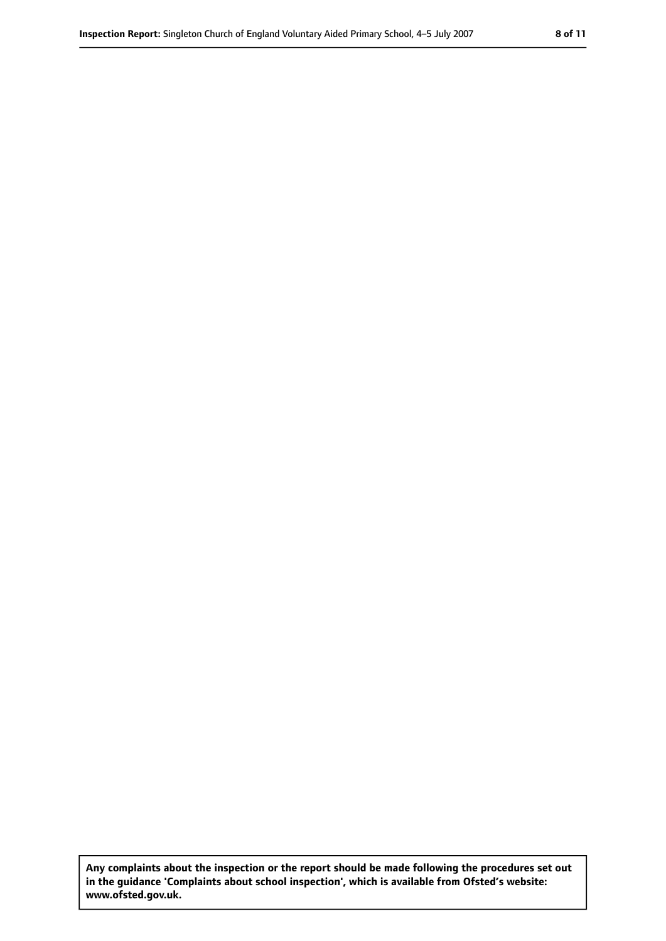**Any complaints about the inspection or the report should be made following the procedures set out in the guidance 'Complaints about school inspection', which is available from Ofsted's website: www.ofsted.gov.uk.**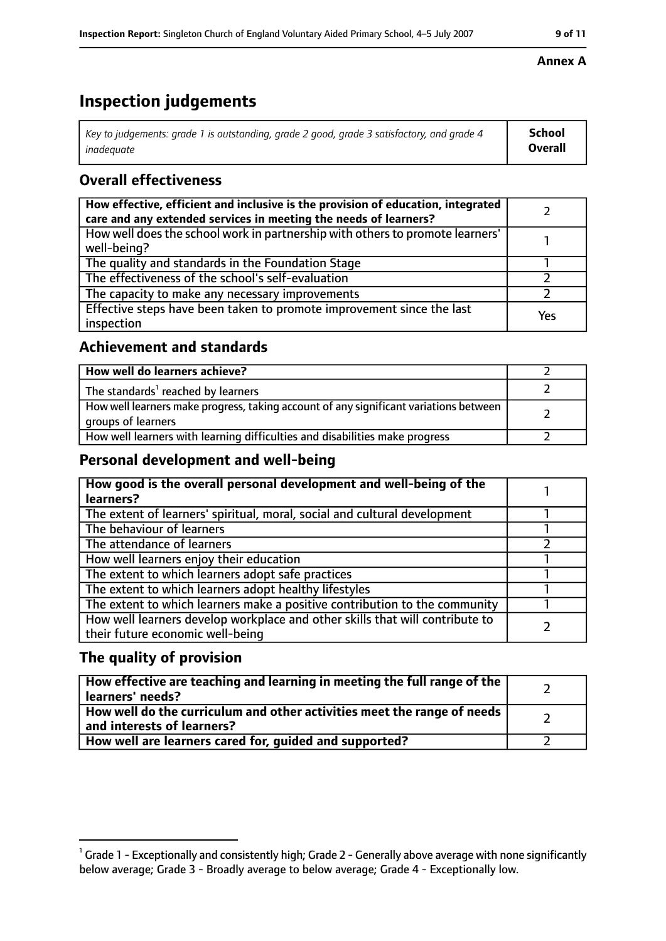# **Inspection judgements**

| $^{\circ}$ Key to judgements: grade 1 is outstanding, grade 2 good, grade 3 satisfactory, and grade 4 $^{\circ}$ | School         |
|------------------------------------------------------------------------------------------------------------------|----------------|
| inadeauate                                                                                                       | <b>Overall</b> |

# **Overall effectiveness**

| How effective, efficient and inclusive is the provision of education, integrated<br>care and any extended services in meeting the needs of learners? |     |
|------------------------------------------------------------------------------------------------------------------------------------------------------|-----|
| How well does the school work in partnership with others to promote learners'<br>well-being?                                                         |     |
| The quality and standards in the Foundation Stage                                                                                                    |     |
| The effectiveness of the school's self-evaluation                                                                                                    |     |
| The capacity to make any necessary improvements                                                                                                      |     |
| Effective steps have been taken to promote improvement since the last<br>inspection                                                                  | Yes |

# **Achievement and standards**

| How well do learners achieve?                                                                               |  |
|-------------------------------------------------------------------------------------------------------------|--|
| The standards <sup>1</sup> reached by learners                                                              |  |
| How well learners make progress, taking account of any significant variations between<br>groups of learners |  |
| How well learners with learning difficulties and disabilities make progress                                 |  |

# **Personal development and well-being**

| How good is the overall personal development and well-being of the<br>learners?                                  |  |
|------------------------------------------------------------------------------------------------------------------|--|
| The extent of learners' spiritual, moral, social and cultural development                                        |  |
| The behaviour of learners                                                                                        |  |
| The attendance of learners                                                                                       |  |
| How well learners enjoy their education                                                                          |  |
| The extent to which learners adopt safe practices                                                                |  |
| The extent to which learners adopt healthy lifestyles                                                            |  |
| The extent to which learners make a positive contribution to the community                                       |  |
| How well learners develop workplace and other skills that will contribute to<br>their future economic well-being |  |

# **The quality of provision**

| How effective are teaching and learning in meeting the full range of the<br>learners' needs?          |  |
|-------------------------------------------------------------------------------------------------------|--|
| How well do the curriculum and other activities meet the range of needs<br>and interests of learners? |  |
| How well are learners cared for, guided and supported?                                                |  |

#### **Annex A**

 $^1$  Grade 1 - Exceptionally and consistently high; Grade 2 - Generally above average with none significantly below average; Grade 3 - Broadly average to below average; Grade 4 - Exceptionally low.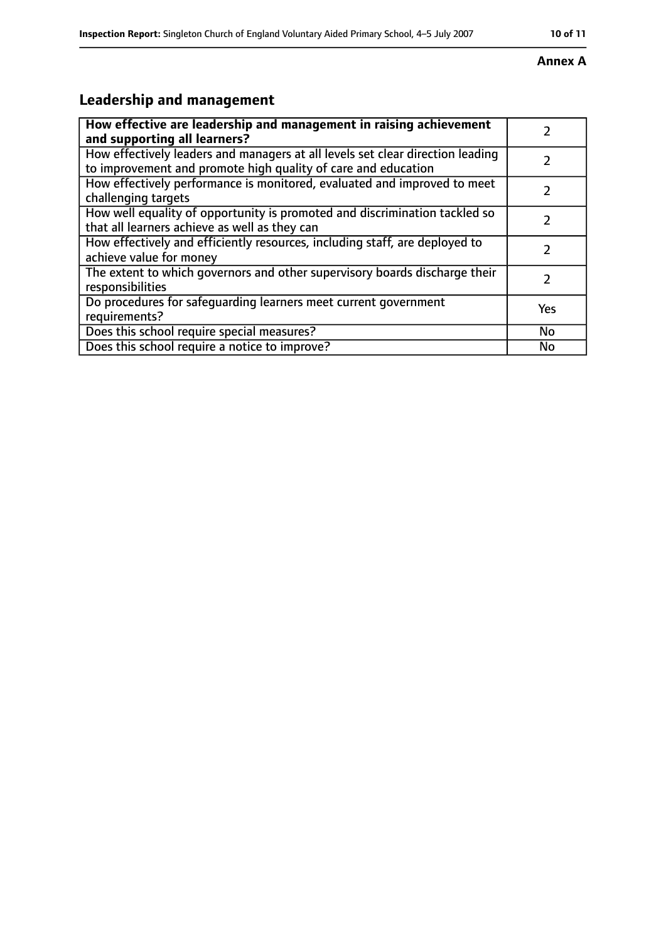# **Inspection Report:** Singleton Church of England Voluntary Aided Primary School, 45 July 2007 **10 of 11**

#### **Annex A**

# **Leadership and management**

| How effective are leadership and management in raising achievement                                                                              |     |
|-------------------------------------------------------------------------------------------------------------------------------------------------|-----|
| and supporting all learners?                                                                                                                    |     |
| How effectively leaders and managers at all levels set clear direction leading<br>to improvement and promote high quality of care and education |     |
| How effectively performance is monitored, evaluated and improved to meet<br>challenging targets                                                 |     |
| How well equality of opportunity is promoted and discrimination tackled so<br>that all learners achieve as well as they can                     |     |
| How effectively and efficiently resources, including staff, are deployed to<br>achieve value for money                                          | 7   |
| The extent to which governors and other supervisory boards discharge their<br>responsibilities                                                  | 7   |
| Do procedures for safequarding learners meet current government<br>requirements?                                                                | Yes |
| Does this school require special measures?                                                                                                      | No  |
| Does this school require a notice to improve?                                                                                                   | No  |